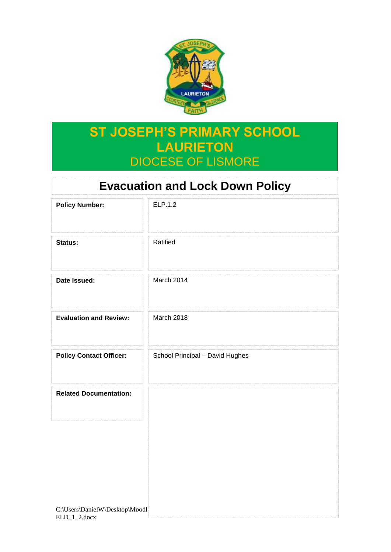

# **ST JOSEPH'S PRIMARY SCHOOL LAURIETON** DIOCESE OF LISMORE

# **Evacuation and Lock Down Policy**

| <b>Policy Number:</b>          | ELP.1.2                         |
|--------------------------------|---------------------------------|
| Status:                        | Ratified                        |
| Date Issued:                   | March 2014                      |
| <b>Evaluation and Review:</b>  | March 2018                      |
| <b>Policy Contact Officer:</b> | School Principal - David Hughes |
| <b>Related Documentation:</b>  |                                 |
|                                |                                 |
|                                |                                 |
| C:\Users\DanielW\Desktop\Moodl |                                 |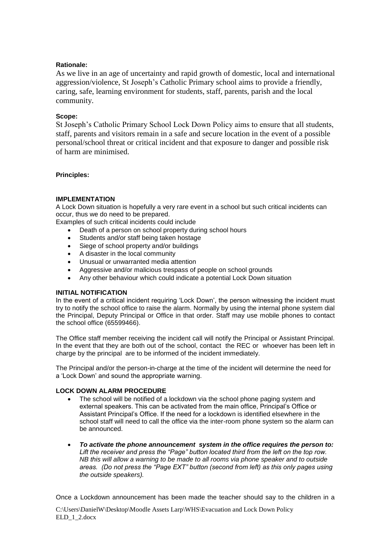## **Rationale:**

As we live in an age of uncertainty and rapid growth of domestic, local and international aggression/violence, St Joseph's Catholic Primary school aims to provide a friendly, caring, safe, learning environment for students, staff, parents, parish and the local community.

### **Scope:**

St Joseph's Catholic Primary School Lock Down Policy aims to ensure that all students, staff, parents and visitors remain in a safe and secure location in the event of a possible personal/school threat or critical incident and that exposure to danger and possible risk of harm are minimised.

#### **Principles:**

## **IMPLEMENTATION**

A Lock Down situation is hopefully a very rare event in a school but such critical incidents can occur, thus we do need to be prepared.

Examples of such critical incidents could include

- Death of a person on school property during school hours
- Students and/or staff being taken hostage
- Siege of school property and/or buildings
- A disaster in the local community
- Unusual or unwarranted media attention
- Aggressive and/or malicious trespass of people on school grounds
- Any other behaviour which could indicate a potential Lock Down situation

#### **INITIAL NOTIFICATION**

In the event of a critical incident requiring 'Lock Down', the person witnessing the incident must try to notify the school office to raise the alarm. Normally by using the internal phone system dial the Principal, Deputy Principal or Office in that order. Staff may use mobile phones to contact the school office (65599466).

The Office staff member receiving the incident call will notify the Principal or Assistant Principal. In the event that they are both out of the school, contact the REC or whoever has been left in charge by the principal are to be informed of the incident immediately.

The Principal and/or the person-in-charge at the time of the incident will determine the need for a 'Lock Down' and sound the appropriate warning.

#### **LOCK DOWN ALARM PROCEDURE**

- The school will be notified of a lockdown via the school phone paging system and external speakers. This can be activated from the main office, Principal's Office or Assistant Principal's Office. If the need for a lockdown is identified elsewhere in the school staff will need to call the office via the inter-room phone system so the alarm can be announced.
- *To activate the phone announcement system in the office requires the person to: Lift the receiver and press the "Page" button located third from the left on the top row. NB this will allow a warning to be made to all rooms via phone speaker and to outside areas. (Do not press the "Page EXT" button (second from left) as this only pages using the outside speakers).*

Once a Lockdown announcement has been made the teacher should say to the children in a

C:\Users\DanielW\Desktop\Moodle Assets Larp\WHS\Evacuation and Lock Down Policy ELD 1\_2.docx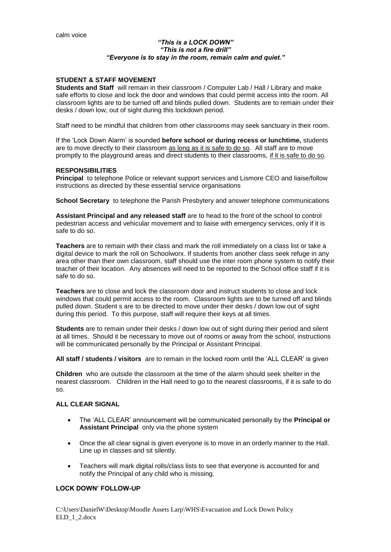#### *"This is a LOCK DOWN" "This is not a fire drill" "Everyone is to stay in the room, remain calm and quiet."*

#### **STUDENT & STAFF MOVEMENT**

**Students and Staff** will remain in their classroom / Computer Lab / Hall / Library and make safe efforts to close and lock the door and windows that could permit access into the room. All classroom lights are to be turned off and blinds pulled down. Students are to remain under their desks / down low, out of sight during this lockdown period.

Staff need to be mindful that children from other classrooms may seek sanctuary in their room.

If the 'Lock Down Alarm' is sounded **before school or during recess or lunchtime,** students are to move directly to their classroom as long as it is safe to do so. All staff are to move promptly to the playground areas and direct students to their classrooms, if it is safe to do so.

#### **RESPONSIBILITIES**

**Principal** to telephone Police or relevant support services and Lismore CEO and liaise/follow instructions as directed by these essential service organisations

**School Secretary** to telephone the Parish Presbytery and answer telephone communications

**Assistant Principal and any released staff** are to head to the front of the school to control pedestrian access and vehicular movement and to liaise with emergency services, only if it is safe to do so.

**Teachers** are to remain with their class and mark the roll immediately on a class list or take a digital device to mark the roll on Schoolworx. If students from another class seek refuge in any area other than their own classroom, staff should use the inter room phone system to notify their teacher of their location. Any absences will need to be reported to the School office staff if it is safe to do so.

**Teachers** are to close and lock the classroom door and instruct students to close and lock windows that could permit access to the room. Classroom lights are to be turned off and blinds pulled down. Student s are to be directed to move under their desks / down low out of sight during this period. To this purpose, staff will require their keys at all times.

**Students** are to remain under their desks / down low out of sight during their period and silent at all times. Should it be necessary to move out of rooms or away from the school, instructions will be communicated personally by the Principal or Assistant Principal.

**All staff / students / visitors** are to remain in the locked room until the 'ALL CLEAR' is give*n* 

**Children** who are outside the classroom at the time of the alarm should seek shelter in the nearest classroom. Children in the Hall need to go to the nearest classrooms, if it is safe to do so.

#### **ALL CLEAR SIGNAL**

- The 'ALL CLEAR' announcement will be communicated personally by the **Principal or Assistant Principal** only via the phone system
- Once the all clear signal is given everyone is to move in an orderly manner to the Hall. Line up in classes and sit silently.
- Teachers will mark digital rolls/class lists to see that everyone is accounted for and notify the Principal of any child who is missing.

#### **LOCK DOWN' FOLLOW-UP**

C:\Users\DanielW\Desktop\Moodle Assets Larp\WHS\Evacuation and Lock Down Policy ELD 1\_2.docx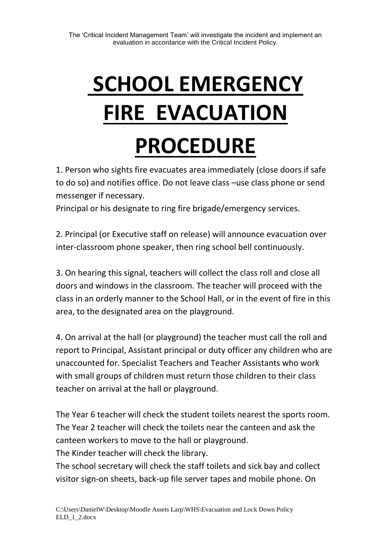# **SCHOOL EMERGENCY FIRE EVACUATION PROCEDURE**

1. Person who sights fire evacuates area immediately (close doors if safe to do so) and notifies office. Do not leave class –use class phone or send messenger if necessary.

Principal or his designate to ring fire brigade/emergency services.

2. Principal (or Executive staff on release) will announce evacuation over inter-classroom phone speaker, then ring school bell continuously.

3. On hearing this signal, teachers will collect the class roll and close all doors and windows in the classroom. The teacher will proceed with the class in an orderly manner to the School Hall, or in the event of fire in this area, to the designated area on the playground.

4. On arrival at the hall (or playground) the teacher must call the roll and report to Principal, Assistant principal or duty officer any children who are unaccounted for. Specialist Teachers and Teacher Assistants who work with small groups of children must return those children to their class teacher on arrival at the hall or playground.

The Year 6 teacher will check the student toilets nearest the sports room. The Year 2 teacher will check the toilets near the canteen and ask the canteen workers to move to the hall or playground.

The Kinder teacher will check the library.

The school secretary will check the staff toilets and sick bay and collect visitor sign-on sheets, back-up file server tapes and mobile phone. On